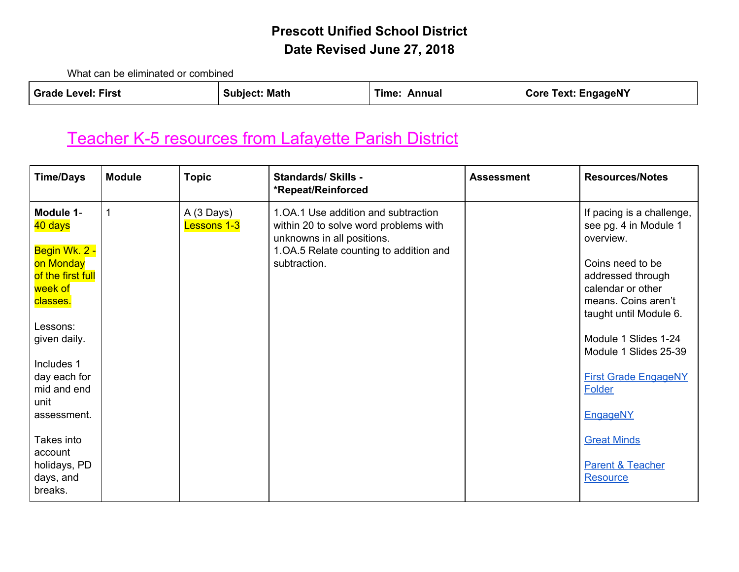What can be eliminated or combined

| <b>Grade Level: First</b> | <b>Subject: Math</b> | Time: Annual | <b>Core Text: EngageNY</b> |
|---------------------------|----------------------|--------------|----------------------------|
|                           |                      |              |                            |

# [Teacher K-5 resources from Lafayette Parish District](http://drive.google.com/a/fusd1.org/folderview?id=0BzSR_g4Ll6AQalpiTlp0Nk8zc1k&usp=sharing#list)

| <b>Time/Days</b>                                                                                                                                                                               | <b>Module</b> | <b>Topic</b>              | <b>Standards/ Skills -</b><br>*Repeat/Reinforced                                                                                                                     | <b>Assessment</b> | <b>Resources/Notes</b>                                                                                                                                                                                                                                                                      |
|------------------------------------------------------------------------------------------------------------------------------------------------------------------------------------------------|---------------|---------------------------|----------------------------------------------------------------------------------------------------------------------------------------------------------------------|-------------------|---------------------------------------------------------------------------------------------------------------------------------------------------------------------------------------------------------------------------------------------------------------------------------------------|
| Module 1-<br>40 days<br>Begin Wk. 2 -<br>on Monday<br>of the first full<br>week of<br>classes.<br>Lessons:<br>given daily.<br>Includes 1<br>day each for<br>mid and end<br>unit<br>assessment. | $\mathbf{1}$  | A (3 Days)<br>Lessons 1-3 | 1.0A.1 Use addition and subtraction<br>within 20 to solve word problems with<br>unknowns in all positions.<br>1.0A.5 Relate counting to addition and<br>subtraction. |                   | If pacing is a challenge,<br>see pg. 4 in Module 1<br>overview.<br>Coins need to be<br>addressed through<br>calendar or other<br>means. Coins aren't<br>taught until Module 6.<br>Module 1 Slides 1-24<br>Module 1 Slides 25-39<br><b>First Grade EngageNY</b><br>Folder<br><b>EngageNY</b> |
| Takes into<br>account<br>holidays, PD<br>days, and<br>breaks.                                                                                                                                  |               |                           |                                                                                                                                                                      |                   | <b>Great Minds</b><br><b>Parent &amp; Teacher</b><br>Resource                                                                                                                                                                                                                               |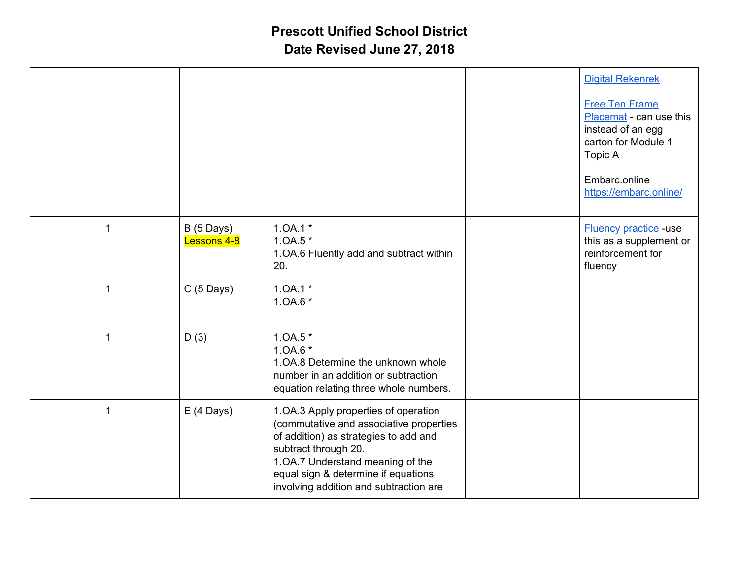|              |                                    |                                                                                                                                                                                                                                                                       | <b>Digital Rekenrek</b><br><b>Free Ten Frame</b><br>Placemat - can use this<br>instead of an egg<br>carton for Module 1<br>Topic A<br>Embarc.online<br>https://embarc.online/ |
|--------------|------------------------------------|-----------------------------------------------------------------------------------------------------------------------------------------------------------------------------------------------------------------------------------------------------------------------|-------------------------------------------------------------------------------------------------------------------------------------------------------------------------------|
| 1            | $B(5 \text{ Days})$<br>Lessons 4-8 | $1.0A.1*$<br>$1.0A.5*$<br>1.OA.6 Fluently add and subtract within<br>20.                                                                                                                                                                                              | <b>Fluency practice -use</b><br>this as a supplement or<br>reinforcement for<br>fluency                                                                                       |
| $\mathbf{1}$ | $C(5$ Days)                        | $1.0A.1*$<br>1.0A.6 *                                                                                                                                                                                                                                                 |                                                                                                                                                                               |
| $\mathbf{1}$ | D(3)                               | $1.0A.5*$<br>1.0A.6 *<br>1.0A.8 Determine the unknown whole<br>number in an addition or subtraction<br>equation relating three whole numbers.                                                                                                                         |                                                                                                                                                                               |
| $\mathbf{1}$ | $E(4 \text{ Days})$                | 1.OA.3 Apply properties of operation<br>(commutative and associative properties<br>of addition) as strategies to add and<br>subtract through 20.<br>1.OA.7 Understand meaning of the<br>equal sign & determine if equations<br>involving addition and subtraction are |                                                                                                                                                                               |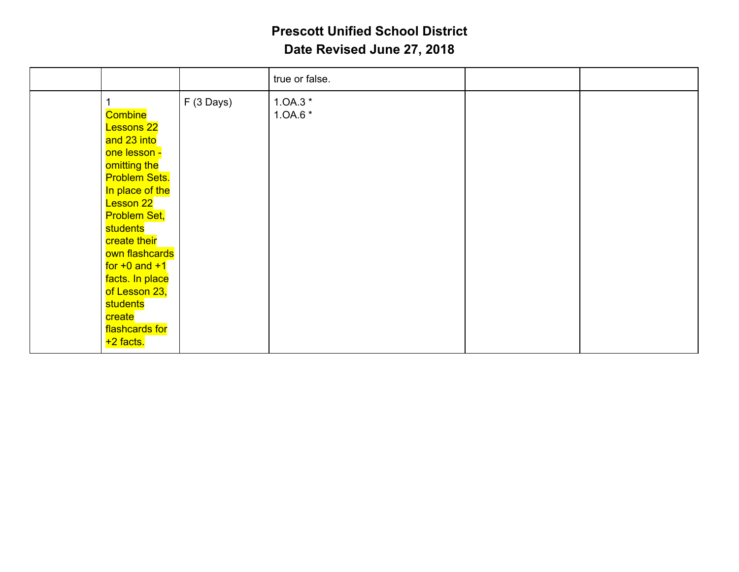|                                                                                                                                                                                                                                                                  |                                                                                  | true or false.          |  |
|------------------------------------------------------------------------------------------------------------------------------------------------------------------------------------------------------------------------------------------------------------------|----------------------------------------------------------------------------------|-------------------------|--|
| Combine<br><b>Lessons 22</b><br>and 23 into<br>one lesson -<br>omitting the<br><b>Lesson 22</b><br><b>Problem Set,</b><br>students<br>create their<br>for $+0$ and $+1$<br>facts. In place<br>of Lesson 23,<br>students<br>create<br>flashcards for<br>+2 facts. | $F(3 \text{ Days})$<br><b>Problem Sets.</b><br>In place of the<br>own flashcards | $1.0A.3*$<br>1.0A.6 $*$ |  |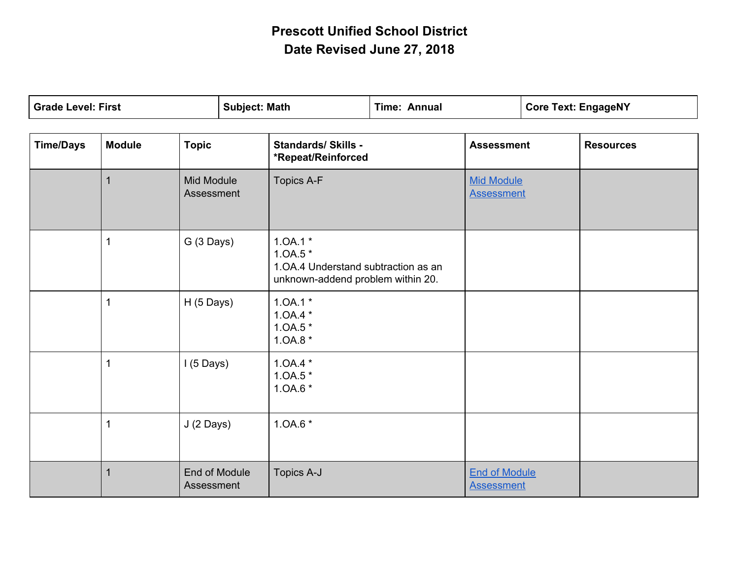| <b>Grade Level: First</b> |               | <b>Subject: Math</b>        | <b>Time: Annual</b> |                                                                                                     | <b>Core Text: EngageNY</b> |                                           |                  |
|---------------------------|---------------|-----------------------------|---------------------|-----------------------------------------------------------------------------------------------------|----------------------------|-------------------------------------------|------------------|
| <b>Time/Days</b>          | <b>Module</b> | <b>Topic</b>                |                     | <b>Standards/ Skills -</b><br>*Repeat/Reinforced                                                    |                            | <b>Assessment</b>                         | <b>Resources</b> |
|                           | $\mathbf 1$   | Mid Module<br>Assessment    |                     | <b>Topics A-F</b>                                                                                   |                            | <b>Mid Module</b><br><b>Assessment</b>    |                  |
|                           | 1             | G (3 Days)                  |                     | $1.0A.1*$<br>$1.0A.5*$<br>1. OA.4 Understand subtraction as an<br>unknown-addend problem within 20. |                            |                                           |                  |
|                           | 1             | $H(5 \text{ Days})$         |                     | $1.0A.1*$<br>$1.0A.4*$<br>$1.0A.5*$<br>$1.0A.8*$                                                    |                            |                                           |                  |
|                           | 1             | $1(5$ Days)                 |                     | $1.0A.4*$<br>$1.0A.5*$<br>1.0A.6 *                                                                  |                            |                                           |                  |
|                           | 1             | J (2 Days)                  |                     | 1.0A.6 *                                                                                            |                            |                                           |                  |
|                           |               | End of Module<br>Assessment |                     | Topics A-J                                                                                          |                            | <b>End of Module</b><br><b>Assessment</b> |                  |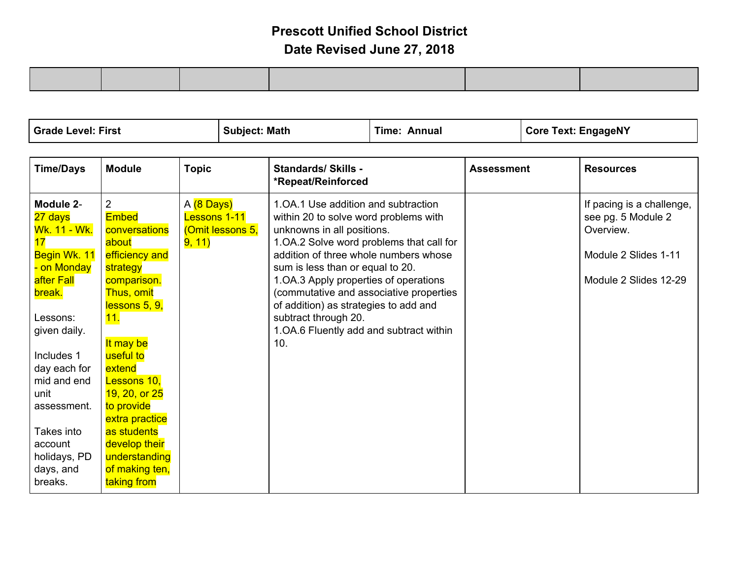| <sup>I</sup> Grade Level: First<br>Math<br>Subiect: | Annua<br>Гіmе: | Core Text: EngageNY |
|-----------------------------------------------------|----------------|---------------------|
|-----------------------------------------------------|----------------|---------------------|

| <b>Time/Days</b>                | <b>Module</b>                 | <b>Topic</b>                     | <b>Standards/ Skills -</b><br>*Repeat/Reinforced                    | <b>Assessment</b> | <b>Resources</b>                |
|---------------------------------|-------------------------------|----------------------------------|---------------------------------------------------------------------|-------------------|---------------------------------|
| Module 2-                       | $\overline{2}$                | A (8 Days)                       | 1.0A.1 Use addition and subtraction                                 |                   | If pacing is a challenge,       |
| 27 days<br><u> Wk. 11 - Wk.</u> | <b>Embed</b><br>conversations | Lessons 1-11<br>(Omit lessons 5, | within 20 to solve word problems with<br>unknowns in all positions. |                   | see pg. 5 Module 2<br>Overview. |
| 17                              | about                         | 9, 11)                           | 1.0A.2 Solve word problems that call for                            |                   |                                 |
| Begin Wk. 11                    | efficiency and                |                                  | addition of three whole numbers whose                               |                   | Module 2 Slides 1-11            |
| - on Monday                     | strategy                      |                                  | sum is less than or equal to 20.                                    |                   |                                 |
| after Fall                      | comparison.                   |                                  | 1.OA.3 Apply properties of operations                               |                   | Module 2 Slides 12-29           |
| break.                          | Thus, omit                    |                                  | (commutative and associative properties                             |                   |                                 |
| Lessons:                        | lessons 5, 9,<br>11.          |                                  | of addition) as strategies to add and<br>subtract through 20.       |                   |                                 |
| given daily.                    |                               |                                  | 1. OA.6 Fluently add and subtract within                            |                   |                                 |
|                                 | It may be                     |                                  | 10.                                                                 |                   |                                 |
| Includes 1                      | useful to                     |                                  |                                                                     |                   |                                 |
| day each for                    | extend                        |                                  |                                                                     |                   |                                 |
| mid and end                     | Lessons 10,                   |                                  |                                                                     |                   |                                 |
| unit<br>assessment.             | 19, 20, or 25<br>to provide   |                                  |                                                                     |                   |                                 |
|                                 | extra practice                |                                  |                                                                     |                   |                                 |
| Takes into                      | as students                   |                                  |                                                                     |                   |                                 |
| account                         | develop their                 |                                  |                                                                     |                   |                                 |
| holidays, PD                    | understanding                 |                                  |                                                                     |                   |                                 |
| days, and                       | of making ten,                |                                  |                                                                     |                   |                                 |
| breaks.                         | taking from                   |                                  |                                                                     |                   |                                 |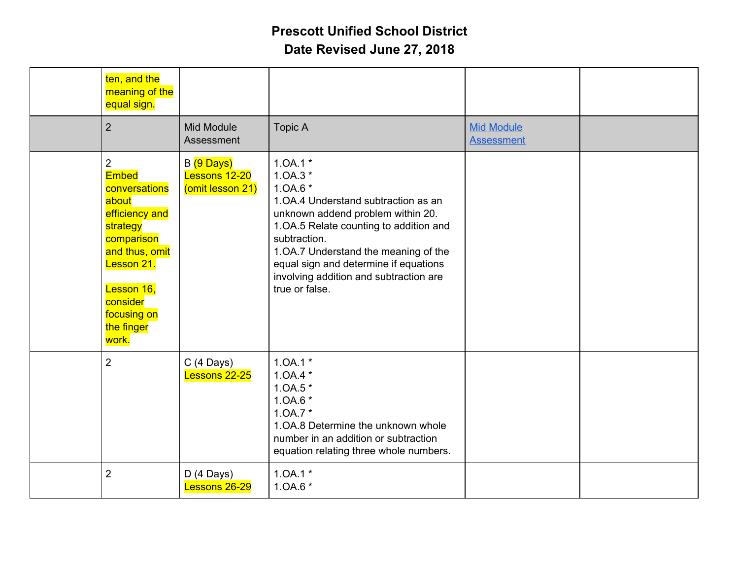|                | ten, and the<br>meaning of the<br>equal sign.                                                                                                                                      |                                                 |                                                                                                                                                                                                                                                                                                                         |                                        |  |
|----------------|------------------------------------------------------------------------------------------------------------------------------------------------------------------------------------|-------------------------------------------------|-------------------------------------------------------------------------------------------------------------------------------------------------------------------------------------------------------------------------------------------------------------------------------------------------------------------------|----------------------------------------|--|
| $\overline{2}$ |                                                                                                                                                                                    | Mid Module<br>Assessment                        | <b>Topic A</b>                                                                                                                                                                                                                                                                                                          | <b>Mid Module</b><br><b>Assessment</b> |  |
| $\overline{2}$ | <b>Embed</b><br>conversations<br>about<br>efficiency and<br>strategy<br>comparison<br>and thus, omit<br>Lesson 21.<br>Lesson 16,<br>consider<br>focusing on<br>the finger<br>work. | B (9 Days)<br>Lessons 12-20<br>(omit lesson 21) | $1.0A.1*$<br>$1.0A.3*$<br>$1.0A.6*$<br>1. OA.4 Understand subtraction as an<br>unknown addend problem within 20.<br>1.0A.5 Relate counting to addition and<br>subtraction.<br>1.OA.7 Understand the meaning of the<br>equal sign and determine if equations<br>involving addition and subtraction are<br>true or false. |                                        |  |
| $\overline{2}$ |                                                                                                                                                                                    | $C(4$ Days)<br>Lessons 22-25                    | $1.0A.1*$<br>$1.0A.4*$<br>$1.0A.5*$<br>1.0A.6 *<br>$1.0A.7*$<br>1. OA.8 Determine the unknown whole<br>number in an addition or subtraction<br>equation relating three whole numbers.                                                                                                                                   |                                        |  |
| $\overline{2}$ |                                                                                                                                                                                    | $D(4$ Days)<br>Lessons 26-29                    | $1.0A.1*$<br>$1.0A.6*$                                                                                                                                                                                                                                                                                                  |                                        |  |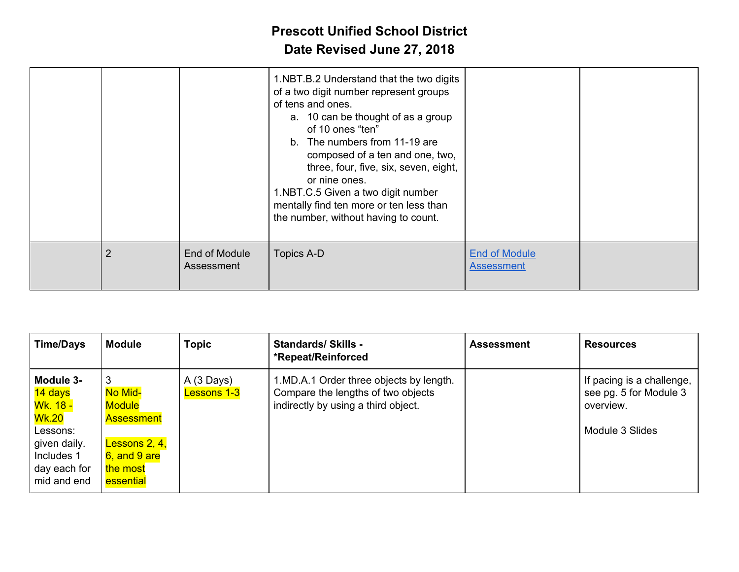|                |                             | 1.NBT.B.2 Understand that the two digits<br>of a two digit number represent groups<br>of tens and ones.<br>a. 10 can be thought of as a group<br>of 10 ones "ten"<br>b. The numbers from 11-19 are<br>composed of a ten and one, two,<br>three, four, five, six, seven, eight,<br>or nine ones.<br>1.NBT.C.5 Given a two digit number<br>mentally find ten more or ten less than<br>the number, without having to count. |                                           |  |
|----------------|-----------------------------|--------------------------------------------------------------------------------------------------------------------------------------------------------------------------------------------------------------------------------------------------------------------------------------------------------------------------------------------------------------------------------------------------------------------------|-------------------------------------------|--|
| $\overline{2}$ | End of Module<br>Assessment | Topics A-D                                                                                                                                                                                                                                                                                                                                                                                                               | <b>End of Module</b><br><b>Assessment</b> |  |

| <b>Time/Days</b>                                                                                                                        | <b>Module</b>                                                                                                   | <b>Topic</b>                              | <b>Standards/Skills -</b><br>*Repeat/Reinforced                                                                      | <b>Assessment</b> | <b>Resources</b>                                                                    |
|-----------------------------------------------------------------------------------------------------------------------------------------|-----------------------------------------------------------------------------------------------------------------|-------------------------------------------|----------------------------------------------------------------------------------------------------------------------|-------------------|-------------------------------------------------------------------------------------|
| Module 3-<br>14 days<br><mark>Wk. 18 -</mark><br><u> Wk.20</u><br>Lessons:<br>given daily.<br>Includes 1<br>day each for<br>mid and end | 3<br>No Mid-<br><b>Module</b><br><b>Assessment</b><br>Lessons $2, 4$ ,<br>6, and 9 are<br>the most<br>essential | $A(3 \text{ Days})$<br><b>Lessons 1-3</b> | 1.MD.A.1 Order three objects by length.<br>Compare the lengths of two objects<br>indirectly by using a third object. |                   | If pacing is a challenge,<br>see pg. 5 for Module 3<br>overview.<br>Module 3 Slides |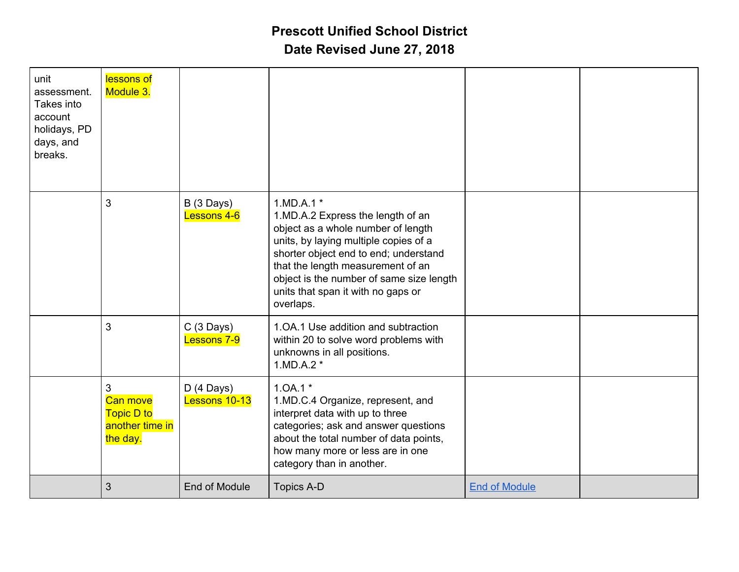| unit<br>assessment.<br>Takes into<br>account<br>holidays, PD<br>days, and<br>breaks. | lessons of<br>Module 3.                                                  |                              |                                                                                                                                                                                                                                                                                                              |                      |  |
|--------------------------------------------------------------------------------------|--------------------------------------------------------------------------|------------------------------|--------------------------------------------------------------------------------------------------------------------------------------------------------------------------------------------------------------------------------------------------------------------------------------------------------------|----------------------|--|
|                                                                                      | $\mathbf{3}$                                                             | B (3 Days)<br>Lessons 4-6    | $1.MD.A.1*$<br>1.MD.A.2 Express the length of an<br>object as a whole number of length<br>units, by laying multiple copies of a<br>shorter object end to end; understand<br>that the length measurement of an<br>object is the number of same size length<br>units that span it with no gaps or<br>overlaps. |                      |  |
|                                                                                      | $\mathbf{3}$                                                             | $C(3$ Days)<br>Lessons 7-9   | 1.OA.1 Use addition and subtraction<br>within 20 to solve word problems with<br>unknowns in all positions.<br>$1.MD.A.2*$                                                                                                                                                                                    |                      |  |
|                                                                                      | 3<br><b>Can move</b><br><b>Topic D to</b><br>another time in<br>the day. | $D(4$ Days)<br>Lessons 10-13 | $1.0A.1*$<br>1.MD.C.4 Organize, represent, and<br>interpret data with up to three<br>categories; ask and answer questions<br>about the total number of data points,<br>how many more or less are in one<br>category than in another.                                                                         |                      |  |
|                                                                                      | 3                                                                        | End of Module                | <b>Topics A-D</b>                                                                                                                                                                                                                                                                                            | <b>End of Module</b> |  |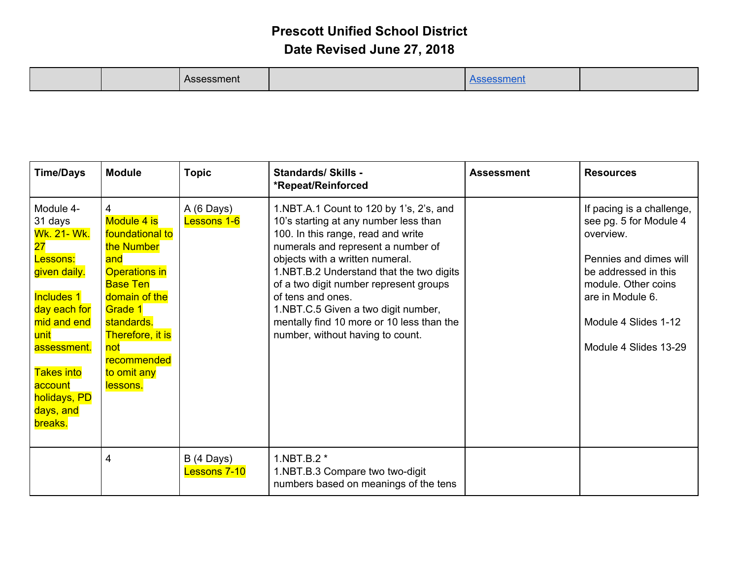| <b>Time/Days</b>                                                                                                                                                                                                                    | <b>Module</b>                                                                                                                                                                                                             | <b>Topic</b>                        | <b>Standards/ Skills -</b><br>*Repeat/Reinforced                                                                                                                                                                                                                                                                                                                                                                                   | <b>Assessment</b> | <b>Resources</b>                                                                                                                                                                                               |
|-------------------------------------------------------------------------------------------------------------------------------------------------------------------------------------------------------------------------------------|---------------------------------------------------------------------------------------------------------------------------------------------------------------------------------------------------------------------------|-------------------------------------|------------------------------------------------------------------------------------------------------------------------------------------------------------------------------------------------------------------------------------------------------------------------------------------------------------------------------------------------------------------------------------------------------------------------------------|-------------------|----------------------------------------------------------------------------------------------------------------------------------------------------------------------------------------------------------------|
| Module 4-<br>31 days<br><b>Wk. 21- Wk.</b><br>$27\,$<br>Lessons:<br>given daily.<br><b>Includes 1</b><br>day each for<br>mid and end<br>unit<br>assessment.<br><b>Takes into</b><br>account<br>holidays, PD<br>days, and<br>breaks. | 4<br>Module 4 is<br>foundational to<br>the Number<br>and<br><b>Operations in</b><br><b>Base Ten</b><br>domain of the<br>Grade 1<br>standards.<br><b>Therefore, it is</b><br>not<br>recommended<br>to omit any<br>lessons. | A (6 Days)<br>Lessons 1-6           | 1.NBT.A.1 Count to 120 by 1's, 2's, and<br>10's starting at any number less than<br>100. In this range, read and write<br>numerals and represent a number of<br>objects with a written numeral.<br>1.NBT.B.2 Understand that the two digits<br>of a two digit number represent groups<br>of tens and ones.<br>1.NBT.C.5 Given a two digit number,<br>mentally find 10 more or 10 less than the<br>number, without having to count. |                   | If pacing is a challenge,<br>see pg. 5 for Module 4<br>overview.<br>Pennies and dimes will<br>be addressed in this<br>module. Other coins<br>are in Module 6.<br>Module 4 Slides 1-12<br>Module 4 Slides 13-29 |
|                                                                                                                                                                                                                                     | 4                                                                                                                                                                                                                         | $B(4 \text{ Days})$<br>Lessons 7-10 | 1.NBT.B.2 *<br>1.NBT.B.3 Compare two two-digit<br>numbers based on meanings of the tens                                                                                                                                                                                                                                                                                                                                            |                   |                                                                                                                                                                                                                |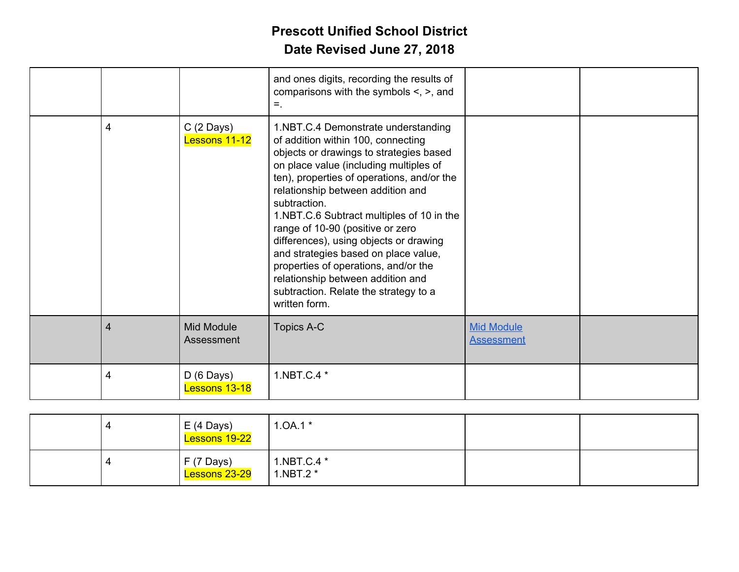|                |                                      | and ones digits, recording the results of<br>comparisons with the symbols $\leq$ , $\geq$ , and<br>$=$ .                                                                                                                                                                                                                                                                                                                                                                                                                                                                    |                                        |  |
|----------------|--------------------------------------|-----------------------------------------------------------------------------------------------------------------------------------------------------------------------------------------------------------------------------------------------------------------------------------------------------------------------------------------------------------------------------------------------------------------------------------------------------------------------------------------------------------------------------------------------------------------------------|----------------------------------------|--|
| 4              | $C(2 \text{ Days})$<br>Lessons 11-12 | 1.NBT.C.4 Demonstrate understanding<br>of addition within 100, connecting<br>objects or drawings to strategies based<br>on place value (including multiples of<br>ten), properties of operations, and/or the<br>relationship between addition and<br>subtraction.<br>1.NBT.C.6 Subtract multiples of 10 in the<br>range of 10-90 (positive or zero<br>differences), using objects or drawing<br>and strategies based on place value,<br>properties of operations, and/or the<br>relationship between addition and<br>subtraction. Relate the strategy to a<br>written form. |                                        |  |
| $\overline{4}$ | <b>Mid Module</b><br>Assessment      | Topics A-C                                                                                                                                                                                                                                                                                                                                                                                                                                                                                                                                                                  | <b>Mid Module</b><br><b>Assessment</b> |  |
| 4              | $D(6 \text{ Days})$<br>Lessons 13-18 | 1.NBT.C.4 *                                                                                                                                                                                                                                                                                                                                                                                                                                                                                                                                                                 |                                        |  |

|  | $E(4 \text{ Days})$<br>Lessons 19-22 | $1.0A.1*$                |  |
|--|--------------------------------------|--------------------------|--|
|  | $F(7 \text{ Days})$<br>Lessons 23-29 | 1.NBT.C.4 *<br>1.NBT.2 * |  |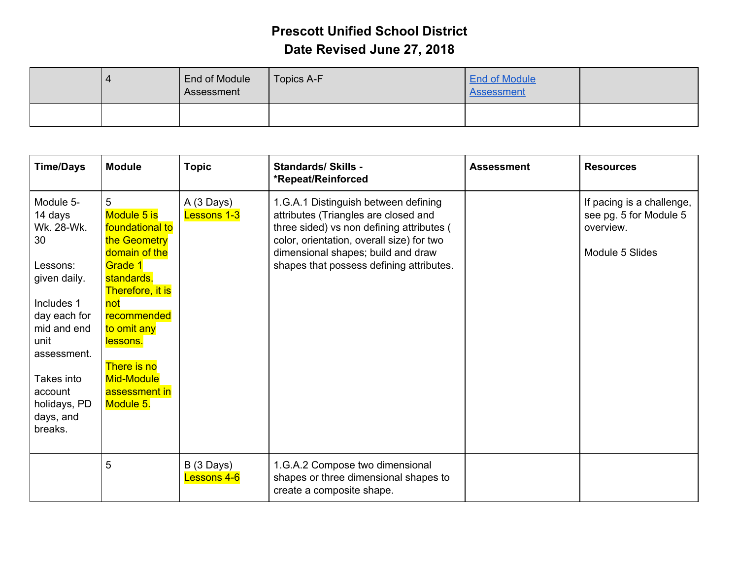|  | End of Module<br>Assessment | Topics A-F | <b>End of Module</b><br>Assessment |  |
|--|-----------------------------|------------|------------------------------------|--|
|  |                             |            |                                    |  |

| <b>Time/Days</b>                                                                                                                                                                                          | <b>Module</b>                                                                                                                                                                                                                 | <b>Topic</b>                       | <b>Standards/ Skills -</b><br>*Repeat/Reinforced                                                                                                                                                                                                         | <b>Assessment</b> | <b>Resources</b>                                                                    |
|-----------------------------------------------------------------------------------------------------------------------------------------------------------------------------------------------------------|-------------------------------------------------------------------------------------------------------------------------------------------------------------------------------------------------------------------------------|------------------------------------|----------------------------------------------------------------------------------------------------------------------------------------------------------------------------------------------------------------------------------------------------------|-------------------|-------------------------------------------------------------------------------------|
| Module 5-<br>14 days<br>Wk. 28-Wk.<br>30<br>Lessons:<br>given daily.<br>Includes 1<br>day each for<br>mid and end<br>unit<br>assessment.<br>Takes into<br>account<br>holidays, PD<br>days, and<br>breaks. | 5<br>Module 5 is<br>foundational to<br>the Geometry<br>domain of the<br>Grade 1<br>standards.<br>Therefore, it is<br>not<br>recommended<br>to omit any<br>lessons.<br>There is no<br>Mid-Module<br>assessment in<br>Module 5. | A (3 Days)<br>Lessons 1-3          | 1.G.A.1 Distinguish between defining<br>attributes (Triangles are closed and<br>three sided) vs non defining attributes (<br>color, orientation, overall size) for two<br>dimensional shapes; build and draw<br>shapes that possess defining attributes. |                   | If pacing is a challenge,<br>see pg. 5 for Module 5<br>overview.<br>Module 5 Slides |
|                                                                                                                                                                                                           | 5                                                                                                                                                                                                                             | $B(3 \text{ Days})$<br>Lessons 4-6 | 1.G.A.2 Compose two dimensional<br>shapes or three dimensional shapes to<br>create a composite shape.                                                                                                                                                    |                   |                                                                                     |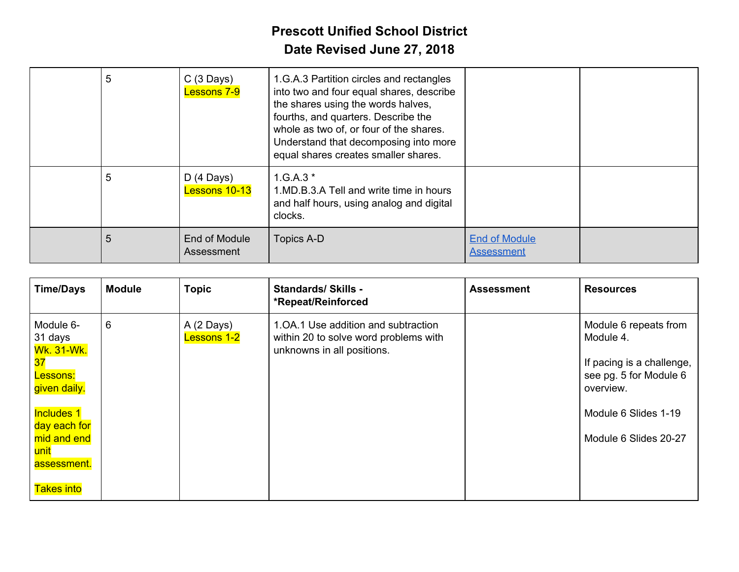| 5 | $C(3 \text{ Days})$<br><b>Lessons 7-9</b> | 1.G.A.3 Partition circles and rectangles<br>into two and four equal shares, describe<br>the shares using the words halves,<br>fourths, and quarters. Describe the<br>whole as two of, or four of the shares.<br>Understand that decomposing into more<br>equal shares creates smaller shares. |                                           |  |
|---|-------------------------------------------|-----------------------------------------------------------------------------------------------------------------------------------------------------------------------------------------------------------------------------------------------------------------------------------------------|-------------------------------------------|--|
| 5 | $D(4 \text{ Days})$<br>Lessons 10-13      | $1.G.A.3*$<br>1.MD.B.3.A Tell and write time in hours<br>and half hours, using analog and digital<br>clocks.                                                                                                                                                                                  |                                           |  |
| 5 | End of Module<br>Assessment               | Topics A-D                                                                                                                                                                                                                                                                                    | <b>End of Module</b><br><b>Assessment</b> |  |

| <b>Time/Days</b>                                                                                 | <b>Module</b> | <b>Topic</b>                     | <b>Standards/Skills -</b><br>*Repeat/Reinforced                                                            | <b>Assessment</b> | <b>Resources</b>                                                                                                               |
|--------------------------------------------------------------------------------------------------|---------------|----------------------------------|------------------------------------------------------------------------------------------------------------|-------------------|--------------------------------------------------------------------------------------------------------------------------------|
| Module 6-<br>31 days<br><b>Wk. 31-Wk.</b><br>37<br>Lessons:<br>given daily.<br><b>Includes 1</b> | 6             | A (2 Days)<br><b>Lessons 1-2</b> | 1.0A.1 Use addition and subtraction<br>within 20 to solve word problems with<br>unknowns in all positions. |                   | Module 6 repeats from<br>Module 4.<br>If pacing is a challenge,<br>see pg. 5 for Module 6<br>overview.<br>Module 6 Slides 1-19 |
| day each for<br>mid and end<br>unit<br>assessment.<br><b>Takes into</b>                          |               |                                  |                                                                                                            |                   | Module 6 Slides 20-27                                                                                                          |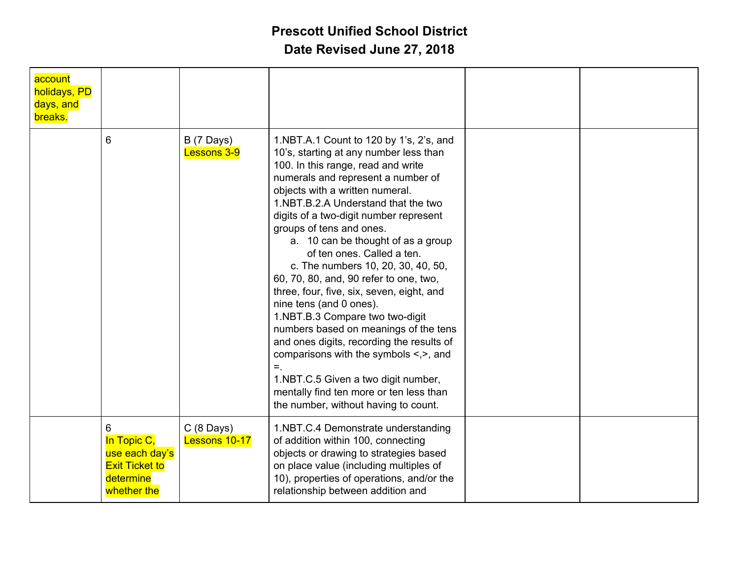| account<br>holidays, PD<br>days, and<br>breaks. |                                                                                         |                                      |                                                                                                                                                                                                                                                                                                                                                                                                                                                                                                                                                                                                                                                                                                                                                                                                                                                         |  |
|-------------------------------------------------|-----------------------------------------------------------------------------------------|--------------------------------------|---------------------------------------------------------------------------------------------------------------------------------------------------------------------------------------------------------------------------------------------------------------------------------------------------------------------------------------------------------------------------------------------------------------------------------------------------------------------------------------------------------------------------------------------------------------------------------------------------------------------------------------------------------------------------------------------------------------------------------------------------------------------------------------------------------------------------------------------------------|--|
|                                                 | $6\phantom{1}$                                                                          | $B(7 \text{ Days})$<br>Lessons 3-9   | 1.NBT.A.1 Count to 120 by 1's, 2's, and<br>10's, starting at any number less than<br>100. In this range, read and write<br>numerals and represent a number of<br>objects with a written numeral.<br>1.NBT.B.2.A Understand that the two<br>digits of a two-digit number represent<br>groups of tens and ones.<br>a. 10 can be thought of as a group<br>of ten ones. Called a ten.<br>c. The numbers 10, 20, 30, 40, 50,<br>60, 70, 80, and, 90 refer to one, two,<br>three, four, five, six, seven, eight, and<br>nine tens (and 0 ones).<br>1.NBT.B.3 Compare two two-digit<br>numbers based on meanings of the tens<br>and ones digits, recording the results of<br>comparisons with the symbols $\leq, \geq,$ and<br>$=$ .<br>1.NBT.C.5 Given a two digit number,<br>mentally find ten more or ten less than<br>the number, without having to count. |  |
|                                                 | 6<br>In Topic C,<br>use each day's<br><b>Exit Ticket to</b><br>determine<br>whether the | $C(8 \text{ Days})$<br>Lessons 10-17 | 1.NBT.C.4 Demonstrate understanding<br>of addition within 100, connecting<br>objects or drawing to strategies based<br>on place value (including multiples of<br>10), properties of operations, and/or the<br>relationship between addition and                                                                                                                                                                                                                                                                                                                                                                                                                                                                                                                                                                                                         |  |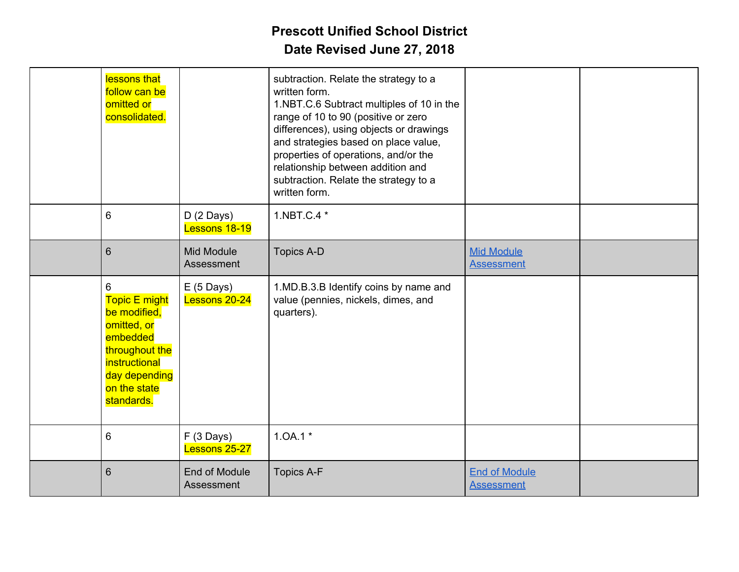| lessons that<br>follow can be<br>omitted or<br>consolidated.                                                                                           |                                      | subtraction. Relate the strategy to a<br>written form.<br>1.NBT.C.6 Subtract multiples of 10 in the<br>range of 10 to 90 (positive or zero<br>differences), using objects or drawings<br>and strategies based on place value,<br>properties of operations, and/or the<br>relationship between addition and<br>subtraction. Relate the strategy to a<br>written form. |                                           |  |
|--------------------------------------------------------------------------------------------------------------------------------------------------------|--------------------------------------|----------------------------------------------------------------------------------------------------------------------------------------------------------------------------------------------------------------------------------------------------------------------------------------------------------------------------------------------------------------------|-------------------------------------------|--|
| 6                                                                                                                                                      | $D(2 \text{ Days})$<br>Lessons 18-19 | 1.NBT.C.4 *                                                                                                                                                                                                                                                                                                                                                          |                                           |  |
| 6                                                                                                                                                      | Mid Module<br>Assessment             | <b>Topics A-D</b>                                                                                                                                                                                                                                                                                                                                                    | <b>Mid Module</b><br><b>Assessment</b>    |  |
| 6<br><b>Topic E might</b><br>be modified,<br>omitted, or<br>embedded<br>throughout the<br>instructional<br>day depending<br>on the state<br>standards. | $E(5 \text{ Days})$<br>Lessons 20-24 | 1.MD.B.3.B Identify coins by name and<br>value (pennies, nickels, dimes, and<br>quarters).                                                                                                                                                                                                                                                                           |                                           |  |
| 6                                                                                                                                                      | $F(3 \text{ Days})$<br>Lessons 25-27 | $1.0A.1*$                                                                                                                                                                                                                                                                                                                                                            |                                           |  |
| 6                                                                                                                                                      | End of Module<br>Assessment          | <b>Topics A-F</b>                                                                                                                                                                                                                                                                                                                                                    | <b>End of Module</b><br><b>Assessment</b> |  |